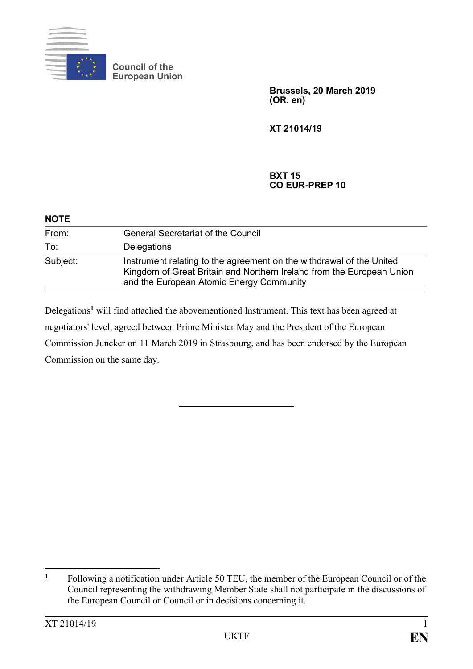

**Council of the European Union**

> **Brussels, 20 March 2019 (OR. en)**

**XT 21014/19**

**BXT 15 CO EUR-PREP 10**

| <b>NOTE</b> |                                                                                                                                                                                           |
|-------------|-------------------------------------------------------------------------------------------------------------------------------------------------------------------------------------------|
| From:       | <b>General Secretariat of the Council</b>                                                                                                                                                 |
| To:         | Delegations                                                                                                                                                                               |
| Subject:    | Instrument relating to the agreement on the withdrawal of the United<br>Kingdom of Great Britain and Northern Ireland from the European Union<br>and the European Atomic Energy Community |

Delegations**<sup>1</sup>** will find attached the abovementioned Instrument. This text has been agreed at negotiators' level, agreed between Prime Minister May and the President of the European Commission Juncker on 11 March 2019 in Strasbourg, and has been endorsed by the European Commission on the same day.

 $\mathbf{1}$ **<sup>1</sup>** Following a notification under Article 50 TEU, the member of the European Council or of the Council representing the withdrawing Member State shall not participate in the discussions of the European Council or Council or in decisions concerning it.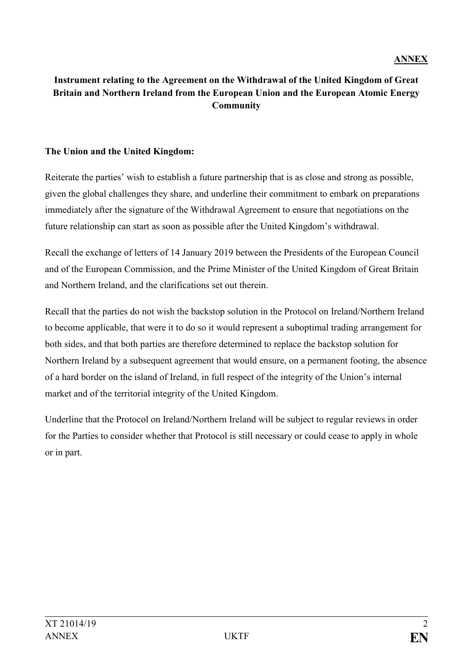# **Instrument relating to the Agreement on the Withdrawal of the United Kingdom of Great Britain and Northern Ireland from the European Union and the European Atomic Energy Community**

#### **The Union and the United Kingdom:**

Reiterate the parties' wish to establish a future partnership that is as close and strong as possible, given the global challenges they share, and underline their commitment to embark on preparations immediately after the signature of the Withdrawal Agreement to ensure that negotiations on the future relationship can start as soon as possible after the United Kingdom's withdrawal.

Recall the exchange of letters of 14 January 2019 between the Presidents of the European Council and of the European Commission, and the Prime Minister of the United Kingdom of Great Britain and Northern Ireland, and the clarifications set out therein.

Recall that the parties do not wish the backstop solution in the Protocol on Ireland/Northern Ireland to become applicable, that were it to do so it would represent a suboptimal trading arrangement for both sides, and that both parties are therefore determined to replace the backstop solution for Northern Ireland by a subsequent agreement that would ensure, on a permanent footing, the absence of a hard border on the island of Ireland, in full respect of the integrity of the Union's internal market and of the territorial integrity of the United Kingdom.

Underline that the Protocol on Ireland/Northern Ireland will be subject to regular reviews in order for the Parties to consider whether that Protocol is still necessary or could cease to apply in whole or in part.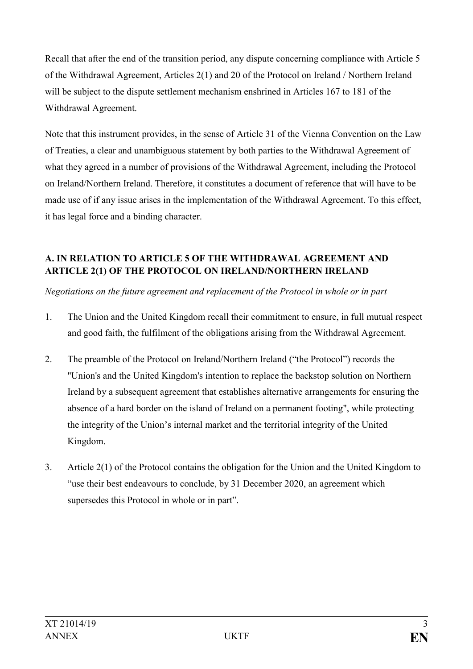Recall that after the end of the transition period, any dispute concerning compliance with Article 5 of the Withdrawal Agreement, Articles 2(1) and 20 of the Protocol on Ireland / Northern Ireland will be subject to the dispute settlement mechanism enshrined in Articles 167 to 181 of the Withdrawal Agreement.

Note that this instrument provides, in the sense of Article 31 of the Vienna Convention on the Law of Treaties, a clear and unambiguous statement by both parties to the Withdrawal Agreement of what they agreed in a number of provisions of the Withdrawal Agreement, including the Protocol on Ireland/Northern Ireland. Therefore, it constitutes a document of reference that will have to be made use of if any issue arises in the implementation of the Withdrawal Agreement. To this effect, it has legal force and a binding character.

# **A. IN RELATION TO ARTICLE 5 OF THE WITHDRAWAL AGREEMENT AND ARTICLE 2(1) OF THE PROTOCOL ON IRELAND/NORTHERN IRELAND**

*Negotiations on the future agreement and replacement of the Protocol in whole or in part*

- 1. The Union and the United Kingdom recall their commitment to ensure, in full mutual respect and good faith, the fulfilment of the obligations arising from the Withdrawal Agreement.
- 2. The preamble of the Protocol on Ireland/Northern Ireland ("the Protocol") records the "Union's and the United Kingdom's intention to replace the backstop solution on Northern Ireland by a subsequent agreement that establishes alternative arrangements for ensuring the absence of a hard border on the island of Ireland on a permanent footing", while protecting the integrity of the Union's internal market and the territorial integrity of the United Kingdom.
- 3. Article 2(1) of the Protocol contains the obligation for the Union and the United Kingdom to "use their best endeavours to conclude, by 31 December 2020, an agreement which supersedes this Protocol in whole or in part".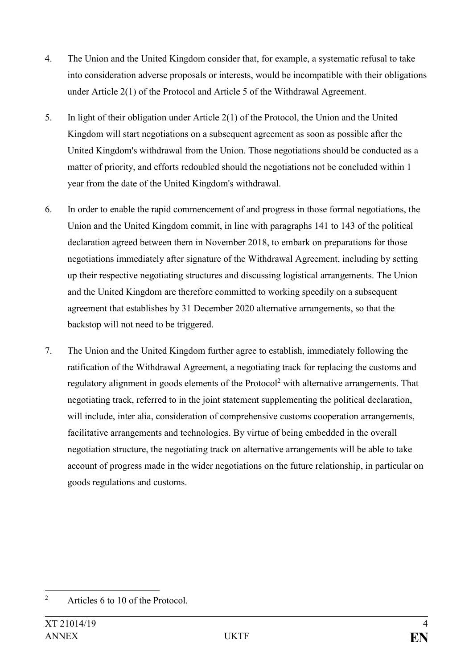- 4. The Union and the United Kingdom consider that, for example, a systematic refusal to take into consideration adverse proposals or interests, would be incompatible with their obligations under Article 2(1) of the Protocol and Article 5 of the Withdrawal Agreement.
- 5. In light of their obligation under Article 2(1) of the Protocol, the Union and the United Kingdom will start negotiations on a subsequent agreement as soon as possible after the United Kingdom's withdrawal from the Union. Those negotiations should be conducted as a matter of priority, and efforts redoubled should the negotiations not be concluded within 1 year from the date of the United Kingdom's withdrawal.
- 6. In order to enable the rapid commencement of and progress in those formal negotiations, the Union and the United Kingdom commit, in line with paragraphs 141 to 143 of the political declaration agreed between them in November 2018, to embark on preparations for those negotiations immediately after signature of the Withdrawal Agreement, including by setting up their respective negotiating structures and discussing logistical arrangements. The Union and the United Kingdom are therefore committed to working speedily on a subsequent agreement that establishes by 31 December 2020 alternative arrangements, so that the backstop will not need to be triggered.
- 7. The Union and the United Kingdom further agree to establish, immediately following the ratification of the Withdrawal Agreement, a negotiating track for replacing the customs and regulatory alignment in goods elements of the Protocol<sup>2</sup> with alternative arrangements. That negotiating track, referred to in the joint statement supplementing the political declaration, will include, inter alia, consideration of comprehensive customs cooperation arrangements, facilitative arrangements and technologies. By virtue of being embedded in the overall negotiation structure, the negotiating track on alternative arrangements will be able to take account of progress made in the wider negotiations on the future relationship, in particular on goods regulations and customs.

 $\overline{2}$ Articles 6 to 10 of the Protocol.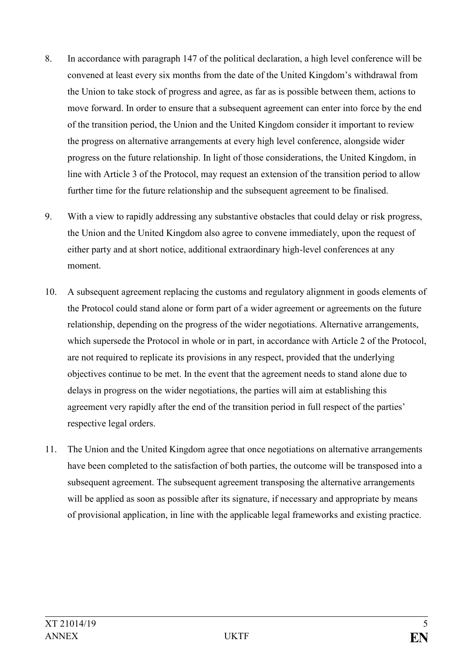- 8. In accordance with paragraph 147 of the political declaration, a high level conference will be convened at least every six months from the date of the United Kingdom's withdrawal from the Union to take stock of progress and agree, as far as is possible between them, actions to move forward. In order to ensure that a subsequent agreement can enter into force by the end of the transition period, the Union and the United Kingdom consider it important to review the progress on alternative arrangements at every high level conference, alongside wider progress on the future relationship. In light of those considerations, the United Kingdom, in line with Article 3 of the Protocol, may request an extension of the transition period to allow further time for the future relationship and the subsequent agreement to be finalised.
- 9. With a view to rapidly addressing any substantive obstacles that could delay or risk progress, the Union and the United Kingdom also agree to convene immediately, upon the request of either party and at short notice, additional extraordinary high-level conferences at any moment.
- 10. A subsequent agreement replacing the customs and regulatory alignment in goods elements of the Protocol could stand alone or form part of a wider agreement or agreements on the future relationship, depending on the progress of the wider negotiations. Alternative arrangements, which supersede the Protocol in whole or in part, in accordance with Article 2 of the Protocol, are not required to replicate its provisions in any respect, provided that the underlying objectives continue to be met. In the event that the agreement needs to stand alone due to delays in progress on the wider negotiations, the parties will aim at establishing this agreement very rapidly after the end of the transition period in full respect of the parties' respective legal orders.
- 11. The Union and the United Kingdom agree that once negotiations on alternative arrangements have been completed to the satisfaction of both parties, the outcome will be transposed into a subsequent agreement. The subsequent agreement transposing the alternative arrangements will be applied as soon as possible after its signature, if necessary and appropriate by means of provisional application, in line with the applicable legal frameworks and existing practice.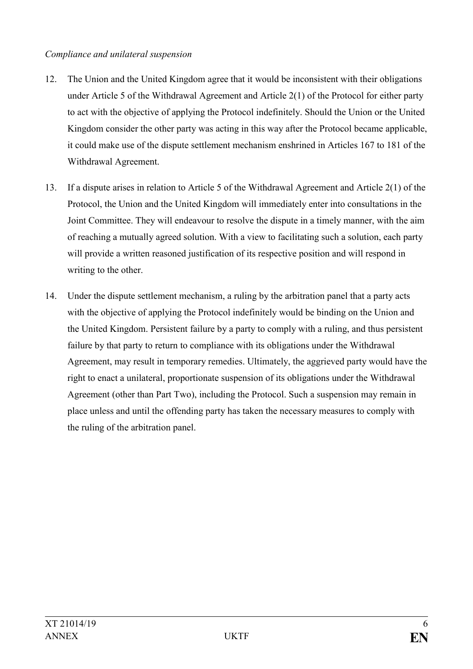### *Compliance and unilateral suspension*

- 12. The Union and the United Kingdom agree that it would be inconsistent with their obligations under Article 5 of the Withdrawal Agreement and Article 2(1) of the Protocol for either party to act with the objective of applying the Protocol indefinitely. Should the Union or the United Kingdom consider the other party was acting in this way after the Protocol became applicable, it could make use of the dispute settlement mechanism enshrined in Articles 167 to 181 of the Withdrawal Agreement.
- 13. If a dispute arises in relation to Article 5 of the Withdrawal Agreement and Article 2(1) of the Protocol, the Union and the United Kingdom will immediately enter into consultations in the Joint Committee. They will endeavour to resolve the dispute in a timely manner, with the aim of reaching a mutually agreed solution. With a view to facilitating such a solution, each party will provide a written reasoned justification of its respective position and will respond in writing to the other.
- 14. Under the dispute settlement mechanism, a ruling by the arbitration panel that a party acts with the objective of applying the Protocol indefinitely would be binding on the Union and the United Kingdom. Persistent failure by a party to comply with a ruling, and thus persistent failure by that party to return to compliance with its obligations under the Withdrawal Agreement, may result in temporary remedies. Ultimately, the aggrieved party would have the right to enact a unilateral, proportionate suspension of its obligations under the Withdrawal Agreement (other than Part Two), including the Protocol. Such a suspension may remain in place unless and until the offending party has taken the necessary measures to comply with the ruling of the arbitration panel.